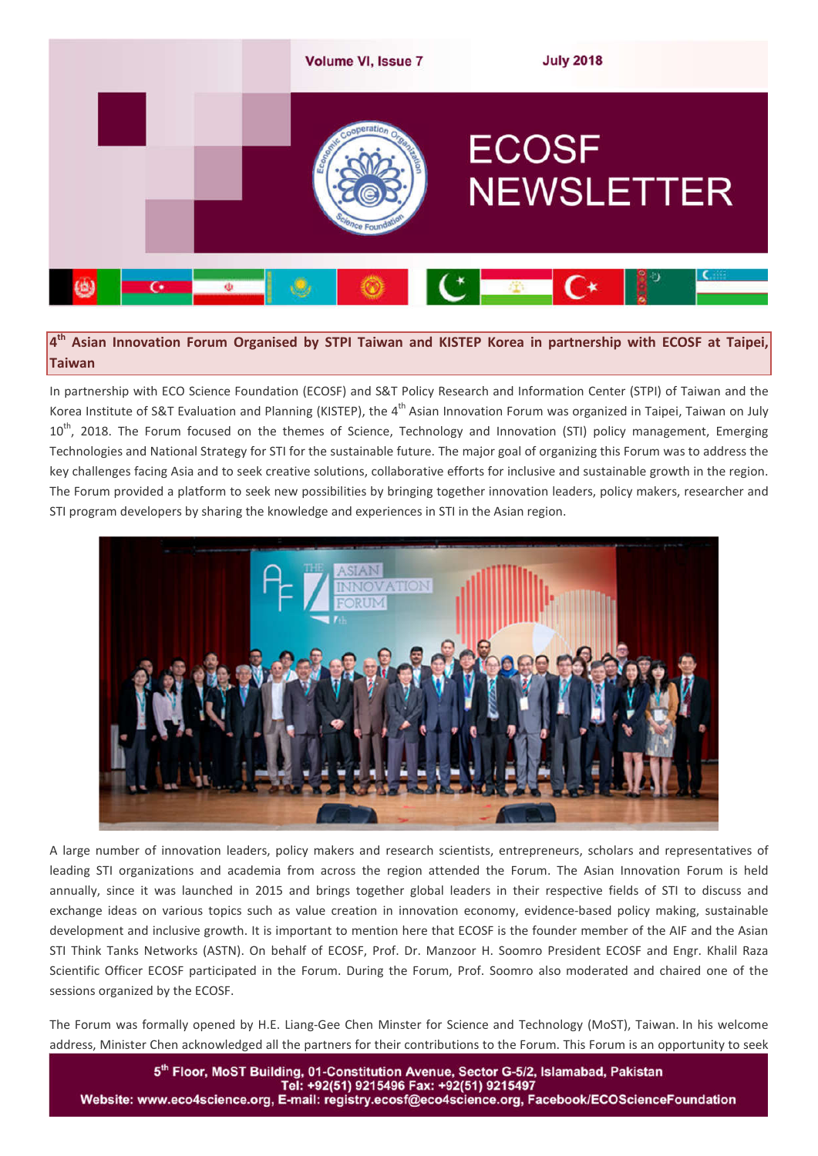

**4th Asian Innovation Forum Organised by STPI Taiwan and KISTEP Korea in partnership with ECOSF at Taipei, Taiwan**

In partnership with ECO Science Foundation (ECOSF) and S&T Policy Research and Information Center (STPI) of Taiwan and the Korea Institute of S&T Evaluation and Planning (KISTEP), the 4<sup>th</sup> Asian Innovation Forum was organized in Taipei, Taiwan on July 10<sup>th</sup>, 2018. The Forum focused on the themes of Science, Technology and Innovation (STI) policy management, Emerging Technologies and National Strategy for STI for the sustainable future. The major goal of organizing this Forum was to address the key challenges facing Asia and to seek creative solutions, collaborative efforts for inclusive and sustainable growth in the region. The Forum provided a platform to seek new possibilities by bringing together innovation leaders, policy makers, researcher and STI program developers by sharing the knowledge and experiences in STI in the Asian region.



A large number of innovation leaders, policy makers and research scientists, entrepreneurs, scholars and representatives of leading STI organizations and academia from across the region attended the Forum. The Asian Innovation Forum is held annually, since it was launched in 2015 and brings together global leaders in their respective fields of STI to discuss and exchange ideas on various topics such as value creation in innovation economy, evidence-based policy making, sustainable development and inclusive growth. It is important to mention here that ECOSF is the founder member of the AIF and the Asian STI Think Tanks Networks (ASTN). On behalf of ECOSF, Prof. Dr. Manzoor H. Soomro President ECOSF and Engr. Khalil Raza Scientific Officer ECOSF participated in the Forum. During the Forum, Prof. Soomro also moderated and chaired one of the sessions organized by the ECOSF.

The Forum was formally opened by H.E. Liang-Gee Chen Minster for Science and Technology (MoST), Taiwan. In his welcome address, Minister Chen acknowledged all the partners for their contributions to the Forum. This Forum is an opportunity to seek

5th Floor, MoST Building, 01-Constitution Avenue, Sector G-5/2, Islamabad, Pakistan Website: www.eco4science.org, E-mail: registry.ecosf@eco4science.org, Facebook/ECOScienceFoundation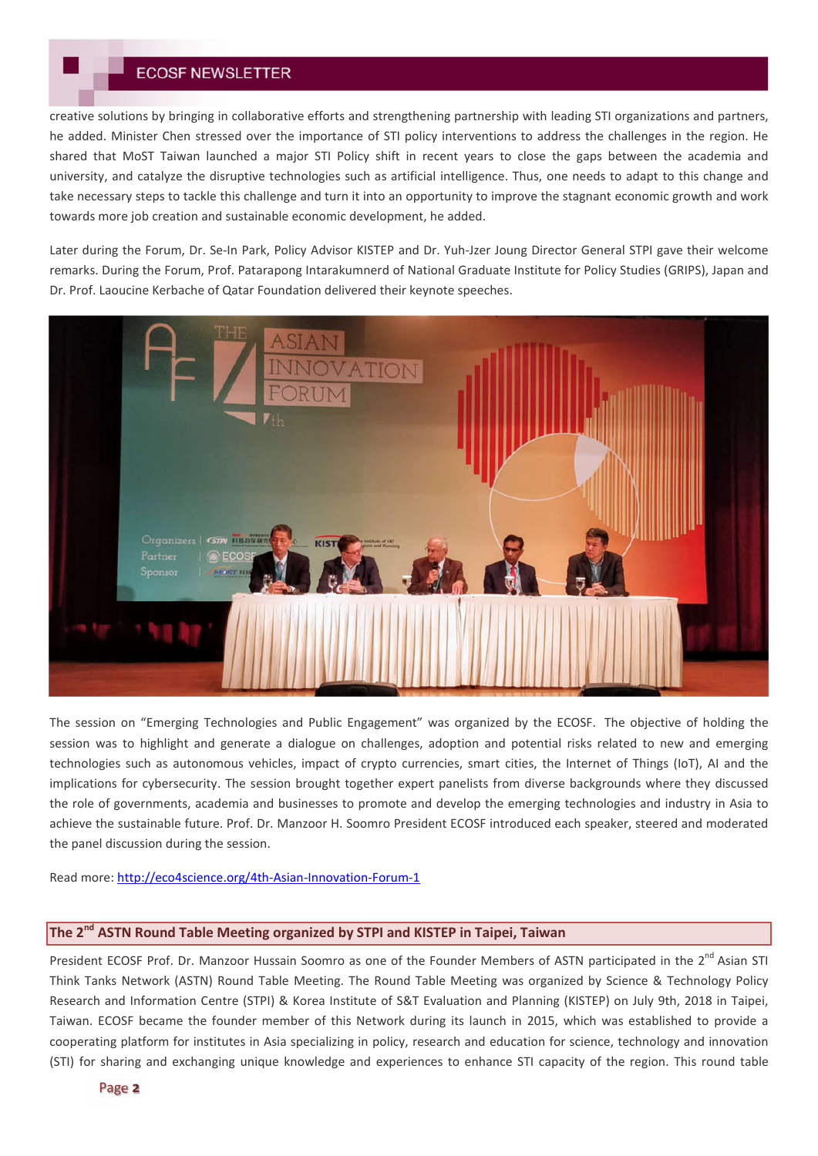creative solutions by bringing in collaborative efforts and strengthening partnership with leading STI organizations and partners, he added. Minister Chen stressed over the importance of STI policy interventions to address the challenges in the region. He shared that MoST Taiwan launched a major STI Policy shift in recent years to close the gaps between the academia and university, and catalyze the disruptive technologies such as artificial intelligence. Thus, one needs to adapt to this change and take necessary steps to tackle this challenge and turn it into an opportunity to improve the stagnant economic growth and work towards more job creation and sustainable economic development, he added.

Later during the Forum, Dr. Se-In Park, Policy Advisor KISTEP and Dr. Yuh-Jzer Joung Director General STPI gave their welcome remarks. During the Forum, Prof. Patarapong Intarakumnerd of National Graduate Institute for Policy Studies (GRIPS), Japan and Dr. Prof. Laoucine Kerbache of Qatar Foundation delivered their keynote speeches.



The session on "Emerging Technologies and Public Engagement" was organized by the ECOSF. The objective of holding the session was to highlight and generate a dialogue on challenges, adoption and potential risks related to new and emerging technologies such as autonomous vehicles, impact of crypto currencies, smart cities, the Internet of Things (IoT), AI and the implications for cybersecurity. The session brought together expert panelists from diverse backgrounds where they discussed the role of governments, academia and businesses to promote and develop the emerging technologies and industry in Asia to achieve the sustainable future. Prof. Dr. Manzoor H. Soomro President ECOSF introduced each speaker, steered and moderated the panel discussion during the session.

Read more: http://eco4science.org/4th-Asian-Innovation-Forum-1

# **The 2nd ASTN Round Table Meeting organized by STPI and KISTEP in Taipei, Taiwan**

President ECOSF Prof. Dr. Manzoor Hussain Soomro as one of the Founder Members of ASTN participated in the 2<sup>nd</sup> Asian STI Think Tanks Network (ASTN) Round Table Meeting. The Round Table Meeting was organized by Science & Technology Policy Research and Information Centre (STPI) & Korea Institute of S&T Evaluation and Planning (KISTEP) on July 9th, 2018 in Taipei, Taiwan. ECOSF became the founder member of this Network during its launch in 2015, which was established to provide a cooperating platform for institutes in Asia specializing in policy, research and education for science, technology and innovation (STI) for sharing and exchanging unique knowledge and experiences to enhance STI capacity of the region. This round table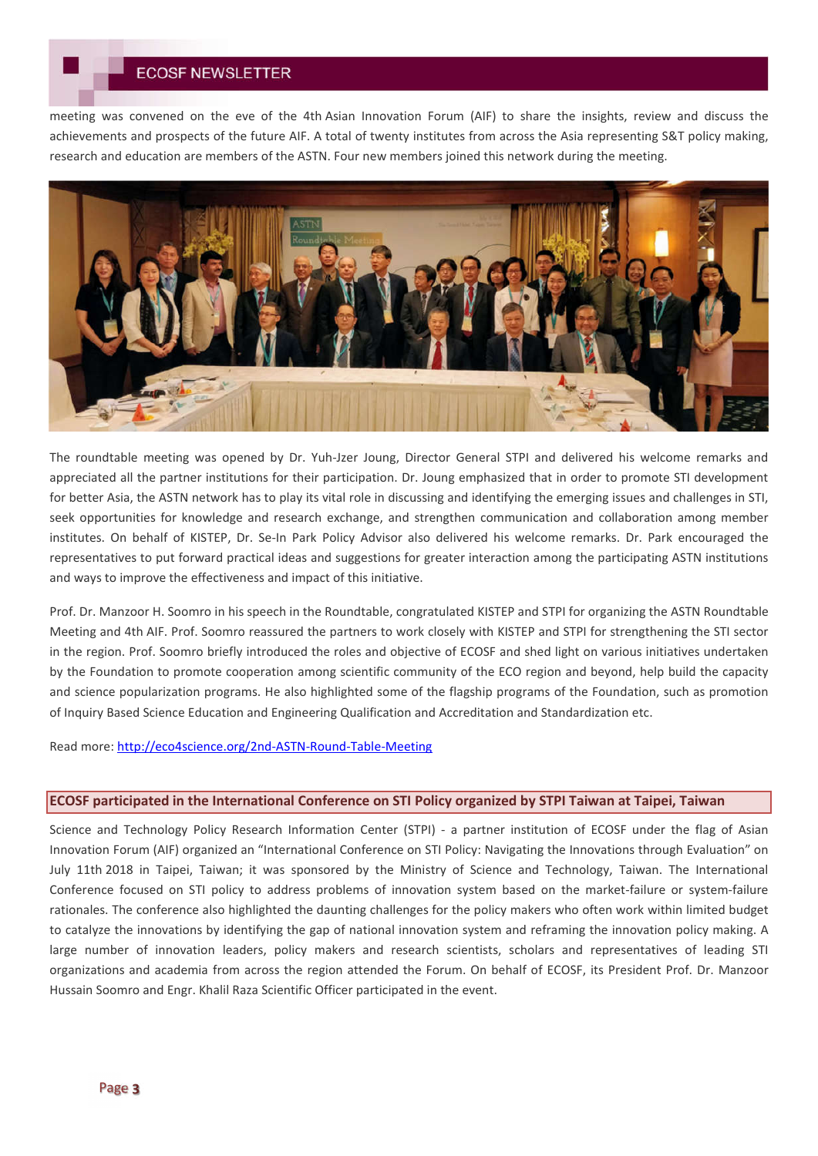meeting was convened on the eve of the 4th Asian Innovation Forum (AIF) to share the insights, review and discuss the achievements and prospects of the future AIF. A total of twenty institutes from across the Asia representing S&T policy making, research and education are members of the ASTN. Four new members joined this network during the meeting.



The roundtable meeting was opened by Dr. Yuh-Jzer Joung, Director General STPI and delivered his welcome remarks and appreciated all the partner institutions for their participation. Dr. Joung emphasized that in order to promote STI development for better Asia, the ASTN network has to play its vital role in discussing and identifying the emerging issues and challenges in STI, seek opportunities for knowledge and research exchange, and strengthen communication and collaboration among member institutes. On behalf of KISTEP, Dr. Se-In Park Policy Advisor also delivered his welcome remarks. Dr. Park encouraged the representatives to put forward practical ideas and suggestions for greater interaction among the participating ASTN institutions and ways to improve the effectiveness and impact of this initiative.

Prof. Dr. Manzoor H. Soomro in his speech in the Roundtable, congratulated KISTEP and STPI for organizing the ASTN Roundtable Meeting and 4th AIF. Prof. Soomro reassured the partners to work closely with KISTEP and STPI for strengthening the STI sector in the region. Prof. Soomro briefly introduced the roles and objective of ECOSF and shed light on various initiatives undertaken by the Foundation to promote cooperation among scientific community of the ECO region and beyond, help build the capacity and science popularization programs. He also highlighted some of the flagship programs of the Foundation, such as promotion of Inquiry Based Science Education and Engineering Qualification and Accreditation and Standardization etc.

Read more: http://eco4science.org/2nd-ASTN-Round-Table-Meeting

## **ECOSF participated in the International Conference on STI Policy organized by STPI Taiwan at Taipei, Taiwan**

Science and Technology Policy Research Information Center (STPI) - a partner institution of ECOSF under the flag of Asian Innovation Forum (AIF) organized an "International Conference on STI Policy: Navigating the Innovations through Evaluation" on July 11th 2018 in Taipei, Taiwan; it was sponsored by the Ministry of Science and Technology, Taiwan. The International Conference focused on STI policy to address problems of innovation system based on the market-failure or system-failure rationales. The conference also highlighted the daunting challenges for the policy makers who often work within limited budget to catalyze the innovations by identifying the gap of national innovation system and reframing the innovation policy making. A large number of innovation leaders, policy makers and research scientists, scholars and representatives of leading STI organizations and academia from across the region attended the Forum. On behalf of ECOSF, its President Prof. Dr. Manzoor Hussain Soomro and Engr. Khalil Raza Scientific Officer participated in the event.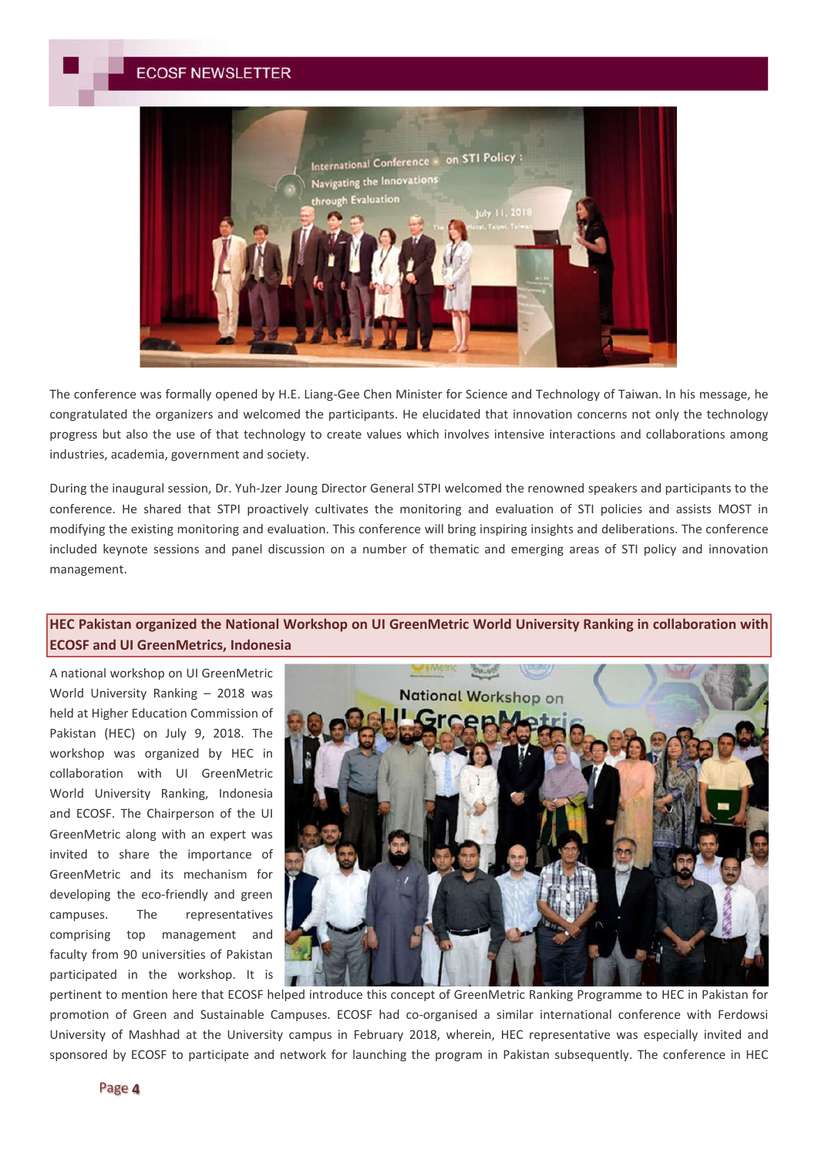

The conference was formally opened by H.E. Liang-Gee Chen Minister for Science and Technology of Taiwan. In his message, he congratulated the organizers and welcomed the participants. He elucidated that innovation concerns not only the technology progress but also the use of that technology to create values which involves intensive interactions and collaborations among industries, academia, government and society.

During the inaugural session, Dr. Yuh-Jzer Joung Director General STPI welcomed the renowned speakers and participants to the conference. He shared that STPI proactively cultivates the monitoring and evaluation of STI policies and assists MOST in modifying the existing monitoring and evaluation. This conference will bring inspiring insights and deliberations. The conference included keynote sessions and panel discussion on a number of thematic and emerging areas of STI policy and innovation management.

# **HEC Pakistan organized the National Workshop on UI GreenMetric World University Ranking in collaboration with ECOSF and UI GreenMetrics, Indonesia**

A national workshop on UI GreenMetric World University Ranking – 2018 was held at Higher Education Commission of Pakistan (HEC) on July 9, 2018. The workshop was organized by HEC in collaboration with UI GreenMetric World University Ranking, Indonesia and ECOSF. The Chairperson of the UI GreenMetric along with an expert was invited to share the importance of GreenMetric and its mechanism for developing the eco-friendly and green campuses. The representatives comprising top management and faculty from 90 universities of Pakistan participated in the workshop. It is



pertinent to mention here that ECOSF helped introduce this concept of GreenMetric Ranking Programme to HEC in Pakistan for promotion of Green and Sustainable Campuses. ECOSF had co-organised a similar international conference with Ferdowsi University of Mashhad at the University campus in February 2018, wherein, HEC representative was especially invited and sponsored by ECOSF to participate and network for launching the program in Pakistan subsequently. The conference in HEC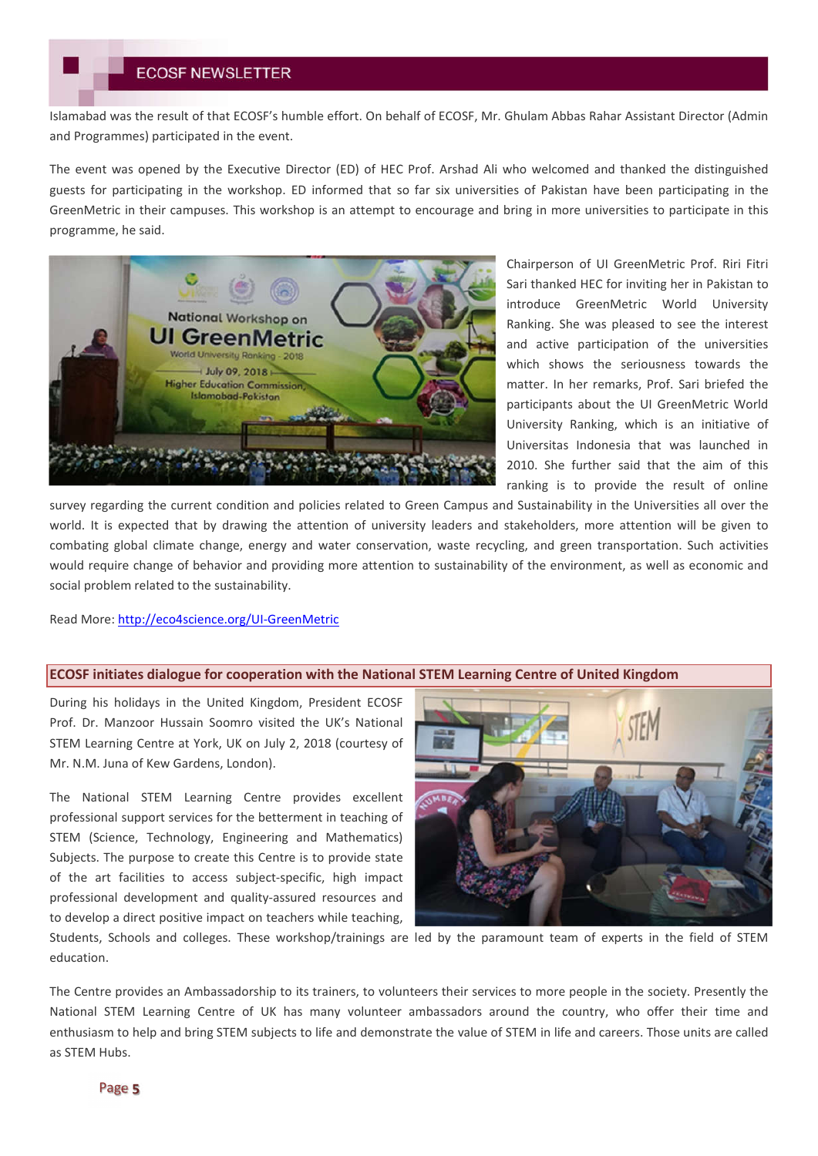Islamabad was the result of that ECOSF's humble effort. On behalf of ECOSF, Mr. Ghulam Abbas Rahar Assistant Director (Admin and Programmes) participated in the event.

The event was opened by the Executive Director (ED) of HEC Prof. Arshad Ali who welcomed and thanked the distinguished guests for participating in the workshop. ED informed that so far six universities of Pakistan have been participating in the GreenMetric in their campuses. This workshop is an attempt to encourage and bring in more universities to participate in this programme, he said.



Chairperson of UI GreenMetric Prof. Riri Fitri Sari thanked HEC for inviting her in Pakistan to introduce GreenMetric World University Ranking. She was pleased to see the interest and active participation of the universities which shows the seriousness towards the matter. In her remarks, Prof. Sari briefed the participants about the UI GreenMetric World University Ranking, which is an initiative of Universitas Indonesia that was launched in 2010. She further said that the aim of this ranking is to provide the result of online

survey regarding the current condition and policies related to Green Campus and Sustainability in the Universities all over the world. It is expected that by drawing the attention of university leaders and stakeholders, more attention will be given to combating global climate change, energy and water conservation, waste recycling, and green transportation. Such activities would require change of behavior and providing more attention to sustainability of the environment, as well as economic and social problem related to the sustainability.

Read More: http://eco4science.org/UI-GreenMetric

#### **ECOSF initiates dialogue for cooperation with the National STEM Learning Centre of United Kingdom**

During his holidays in the United Kingdom, President ECOSF Prof. Dr. Manzoor Hussain Soomro visited the UK's National STEM Learning Centre at York, UK on July 2, 2018 (courtesy of Mr. N.M. Juna of Kew Gardens, London).

The National STEM Learning Centre provides excellent professional support services for the betterment in teaching of STEM (Science, Technology, Engineering and Mathematics) Subjects. The purpose to create this Centre is to provide state of the art facilities to access subject-specific, high impact professional development and quality-assured resources and to develop a direct positive impact on teachers while teaching,



Students, Schools and colleges. These workshop/trainings are led by the paramount team of experts in the field of STEM education.

The Centre provides an Ambassadorship to its trainers, to volunteers their services to more people in the society. Presently the National STEM Learning Centre of UK has many volunteer ambassadors around the country, who offer their time and enthusiasm to help and bring STEM subjects to life and demonstrate the value of STEM in life and careers. Those units are called as STEM Hubs.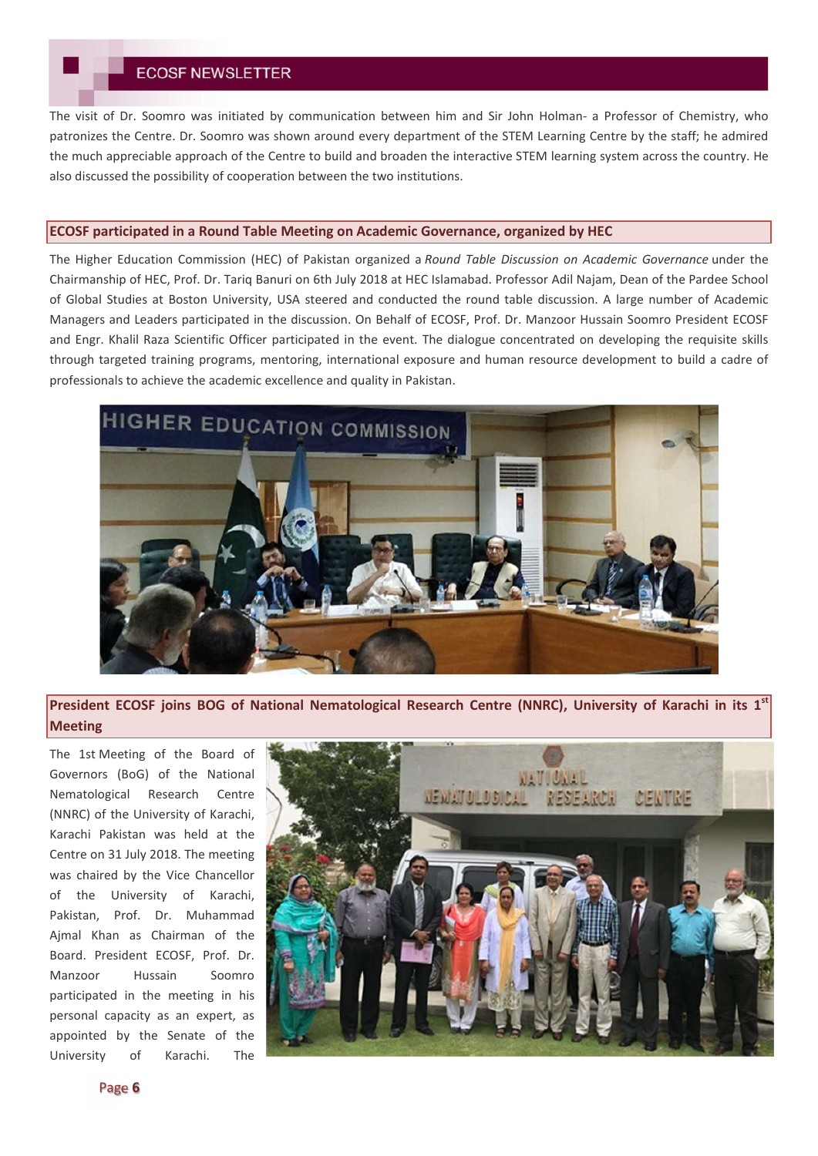The visit of Dr. Soomro was initiated by communication between him and Sir John Holman- a Professor of Chemistry, who patronizes the Centre. Dr. Soomro was shown around every department of the STEM Learning Centre by the staff; he admired the much appreciable approach of the Centre to build and broaden the interactive STEM learning system across the country. He also discussed the possibility of cooperation between the two institutions.

## **ECOSF participated in a Round Table Meeting on Academic Governance, organized by HEC**

The Higher Education Commission (HEC) of Pakistan organized a *Round Table Discussion on Academic Governance* under the Chairmanship of HEC, Prof. Dr. Tariq Banuri on 6th July 2018 at HEC Islamabad. Professor Adil Najam, Dean of the Pardee School of Global Studies at Boston University, USA steered and conducted the round table discussion. A large number of Academic Managers and Leaders participated in the discussion. On Behalf of ECOSF, Prof. Dr. Manzoor Hussain Soomro President ECOSF and Engr. Khalil Raza Scientific Officer participated in the event. The dialogue concentrated on developing the requisite skills through targeted training programs, mentoring, international exposure and human resource development to build a cadre of professionals to achieve the academic excellence and quality in Pakistan.



**President ECOSF joins BOG of National Nematological Research Centre (NNRC), University of Karachi in its 1st Meeting**

The 1st Meeting of the Board of Governors (BoG) of the National Nematological Research Centre (NNRC) of the University of Karachi, Karachi Pakistan was held at the Centre on 31 July 2018. The meeting was chaired by the Vice Chancellor of the University of Karachi, Pakistan, Prof. Dr. Muhammad Ajmal Khan as Chairman of the Board. President ECOSF, Prof. Dr. Manzoor Hussain Soomro participated in the meeting in his personal capacity as an expert, as appointed by the Senate of the University of Karachi. The

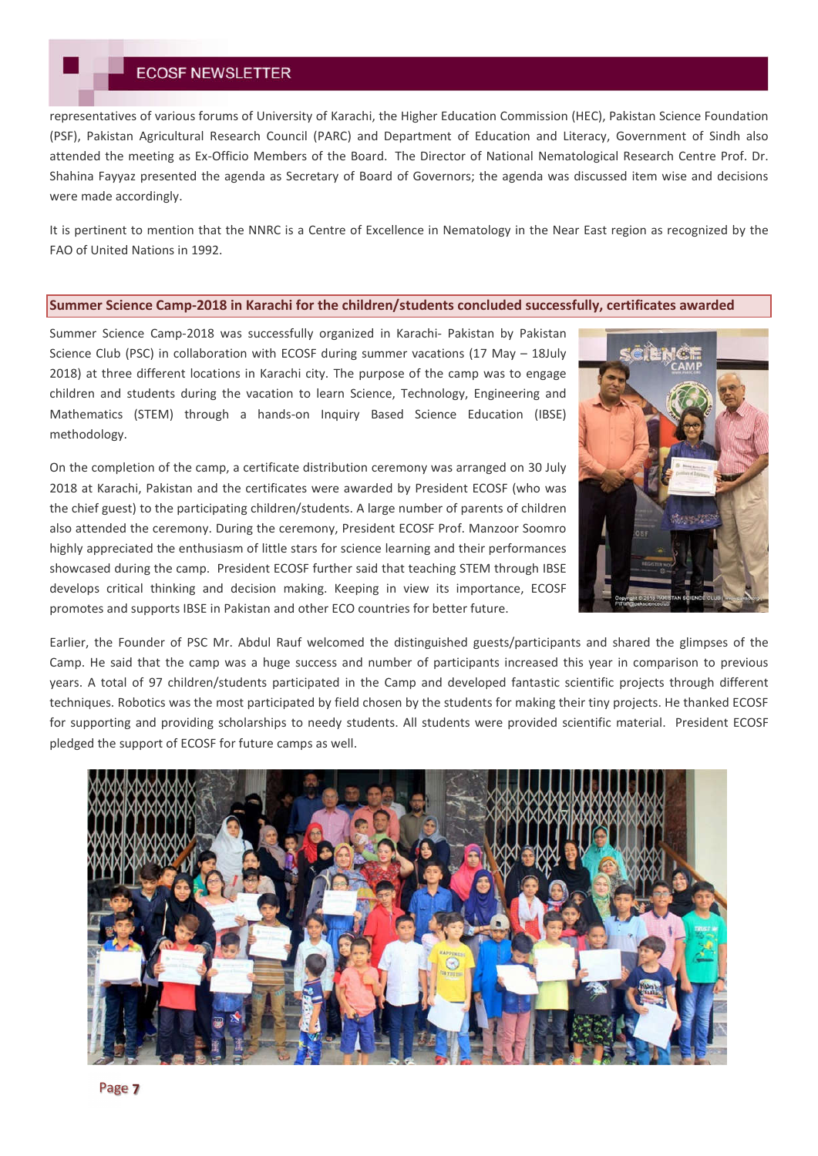representatives of various forums of University of Karachi, the Higher Education Commission (HEC), Pakistan Science Foundation (PSF), Pakistan Agricultural Research Council (PARC) and Department of Education and Literacy, Government of Sindh also attended the meeting as Ex-Officio Members of the Board. The Director of National Nematological Research Centre Prof. Dr. Shahina Fayyaz presented the agenda as Secretary of Board of Governors; the agenda was discussed item wise and decisions were made accordingly.

It is pertinent to mention that the NNRC is a Centre of Excellence in Nematology in the Near East region as recognized by the FAO of United Nations in 1992.

## **Summer Science Camp-2018 in Karachi for the children/students concluded successfully, certificates awarded**

Summer Science Camp-2018 was successfully organized in Karachi- Pakistan by Pakistan Science Club (PSC) in collaboration with ECOSF during summer vacations (17 May – 18July 2018) at three different locations in Karachi city. The purpose of the camp was to engage children and students during the vacation to learn Science, Technology, Engineering and Mathematics (STEM) through a hands-on Inquiry Based Science Education (IBSE) methodology.

On the completion of the camp, a certificate distribution ceremony was arranged on 30 July 2018 at Karachi, Pakistan and the certificates were awarded by President ECOSF (who was the chief guest) to the participating children/students. A large number of parents of children also attended the ceremony. During the ceremony, President ECOSF Prof. Manzoor Soomro highly appreciated the enthusiasm of little stars for science learning and their performances showcased during the camp. President ECOSF further said that teaching STEM through IBSE develops critical thinking and decision making. Keeping in view its importance, ECOSF promotes and supports IBSE in Pakistan and other ECO countries for better future.



Earlier, the Founder of PSC Mr. Abdul Rauf welcomed the distinguished guests/participants and shared the glimpses of the Camp. He said that the camp was a huge success and number of participants increased this year in comparison to previous years. A total of 97 children/students participated in the Camp and developed fantastic scientific projects through different techniques. Robotics was the most participated by field chosen by the students for making their tiny projects. He thanked ECOSF for supporting and providing scholarships to needy students. All students were provided scientific material. President ECOSF pledged the support of ECOSF for future camps as well.

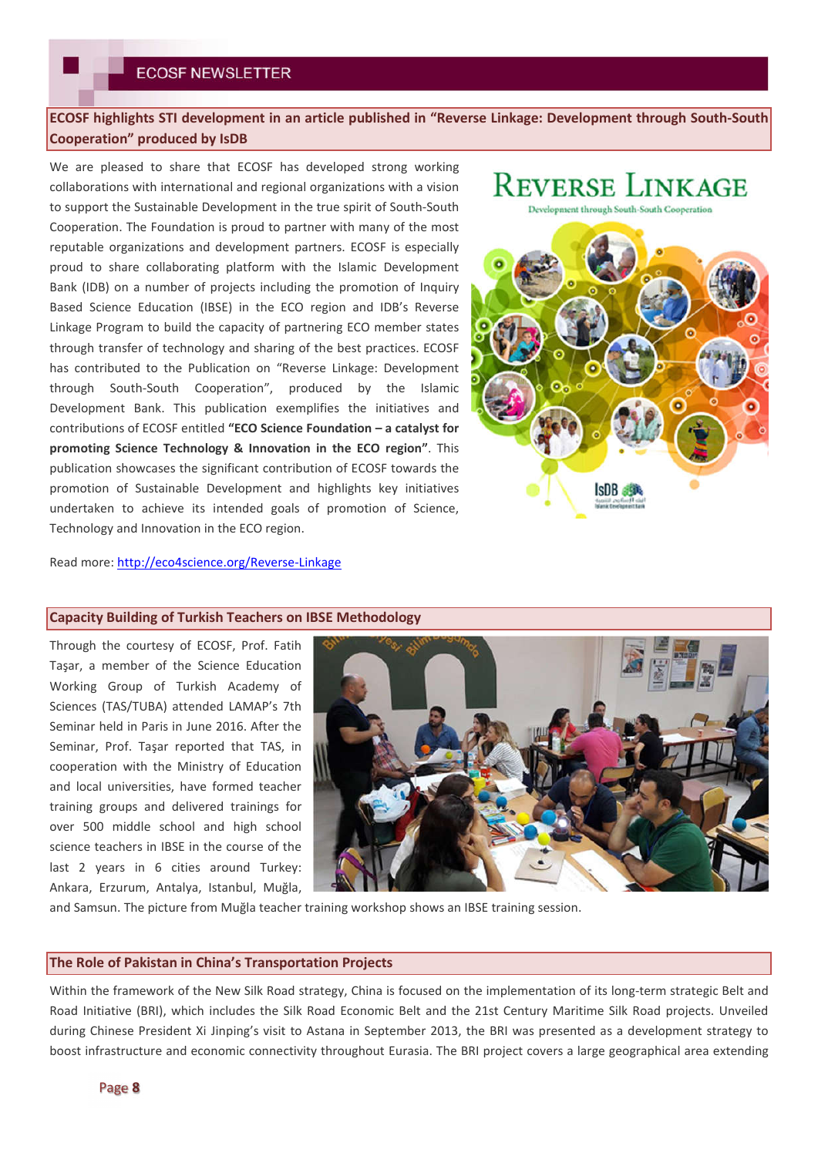# **ECOSF highlights STI development in an article published in "Reverse Linkage: Development through South-South Cooperation" produced by IsDB**

We are pleased to share that ECOSF has developed strong working collaborations with international and regional organizations with a vision to support the Sustainable Development in the true spirit of South-South Cooperation. The Foundation is proud to partner with many of the most reputable organizations and development partners. ECOSF is especially proud to share collaborating platform with the Islamic Development Bank (IDB) on a number of projects including the promotion of Inquiry Based Science Education (IBSE) in the ECO region and IDB's Reverse Linkage Program to build the capacity of partnering ECO member states through transfer of technology and sharing of the best practices. ECOSF has contributed to the Publication on "Reverse Linkage: Development through South-South Cooperation", produced by the Islamic Development Bank. This publication exemplifies the initiatives and contributions of ECOSF entitled **"ECO Science Foundation – a catalyst for promoting Science Technology & Innovation in the ECO region"**. This publication showcases the significant contribution of ECOSF towards the promotion of Sustainable Development and highlights key initiatives undertaken to achieve its intended goals of promotion of Science, Technology and Innovation in the ECO region.

# **REVERSE LINKAGE**



Read more: http://eco4science.org/Reverse-Linkage

## **Capacity Building of Turkish Teachers on IBSE Methodology**

Through the courtesy of ECOSF, Prof. Fatih Taşar, a member of the Science Education Working Group of Turkish Academy of Sciences (TAS/TUBA) attended LAMAP's 7th Seminar held in Paris in June 2016. After the Seminar, Prof. Taşar reported that TAS, in cooperation with the Ministry of Education and local universities, have formed teacher training groups and delivered trainings for over 500 middle school and high school science teachers in IBSE in the course of the last 2 years in 6 cities around Turkey: Ankara, Erzurum, Antalya, Istanbul, Muğla,



and Samsun. The picture from Muğla teacher training workshop shows an IBSE training session.

#### **The Role of Pakistan in China's Transportation Projects**

Within the framework of the New Silk Road strategy, China is focused on the implementation of its long-term strategic Belt and Road Initiative (BRI), which includes the Silk Road Economic Belt and the 21st Century Maritime Silk Road projects. Unveiled during Chinese President Xi Jinping's visit to Astana in September 2013, the BRI was presented as a development strategy to boost infrastructure and economic connectivity throughout Eurasia. The BRI project covers a large geographical area extending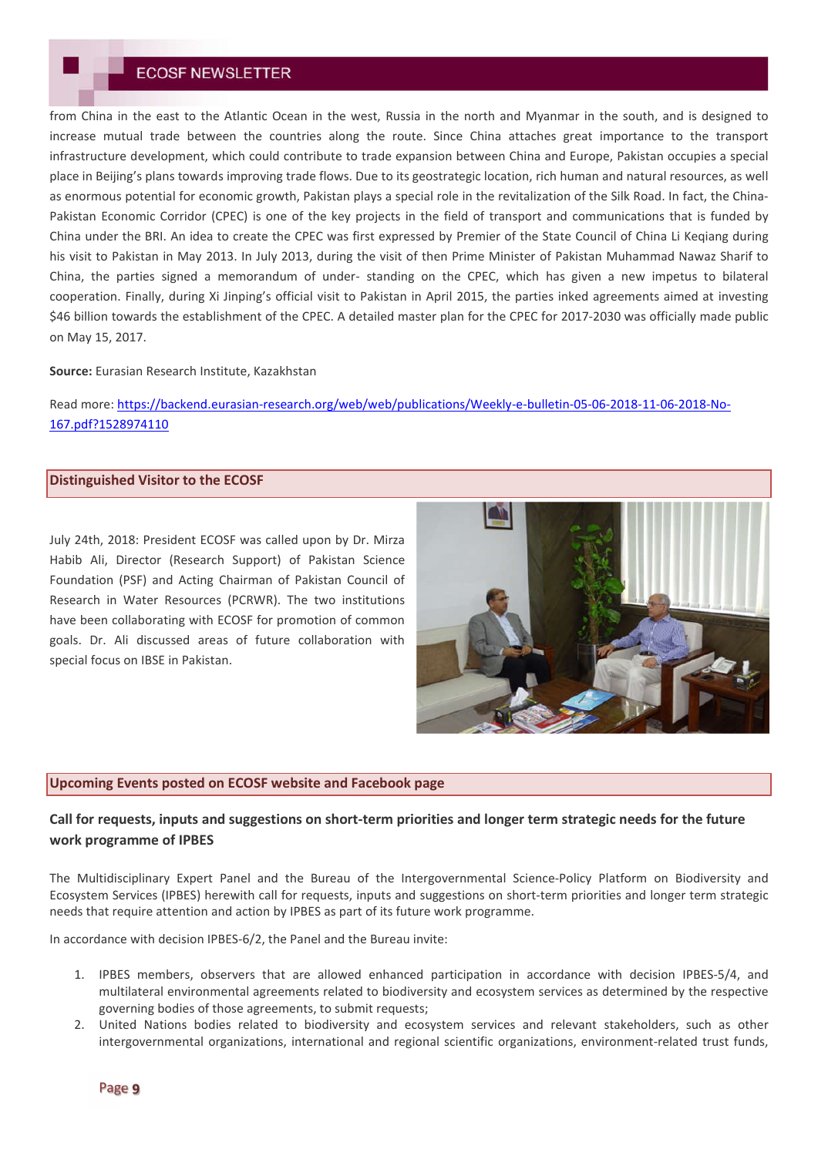from China in the east to the Atlantic Ocean in the west, Russia in the north and Myanmar in the south, and is designed to increase mutual trade between the countries along the route. Since China attaches great importance to the transport infrastructure development, which could contribute to trade expansion between China and Europe, Pakistan occupies a special place in Beijing's plans towards improving trade flows. Due to its geostrategic location, rich human and natural resources, as well as enormous potential for economic growth, Pakistan plays a special role in the revitalization of the Silk Road. In fact, the China-Pakistan Economic Corridor (CPEC) is one of the key projects in the field of transport and communications that is funded by China under the BRI. An idea to create the CPEC was first expressed by Premier of the State Council of China Li Keqiang during his visit to Pakistan in May 2013. In July 2013, during the visit of then Prime Minister of Pakistan Muhammad Nawaz Sharif to China, the parties signed a memorandum of under- standing on the CPEC, which has given a new impetus to bilateral cooperation. Finally, during Xi Jinping's official visit to Pakistan in April 2015, the parties inked agreements aimed at investing \$46 billion towards the establishment of the CPEC. A detailed master plan for the CPEC for 2017-2030 was officially made public on May 15, 2017.

#### **Source:** Eurasian Research Institute, Kazakhstan

Read more: https://backend.eurasian-research.org/web/web/publications/Weekly-e-bulletin-05-06-2018-11-06-2018-No-167.pdf?1528974110

#### **Distinguished Visitor to the ECOSF**

July 24th, 2018: President ECOSF was called upon by Dr. Mirza Habib Ali, Director (Research Support) of Pakistan Science Foundation (PSF) and Acting Chairman of Pakistan Council of Research in Water Resources (PCRWR). The two institutions have been collaborating with ECOSF for promotion of common goals. Dr. Ali discussed areas of future collaboration with special focus on IBSE in Pakistan.



### **Upcoming Events posted on ECOSF website and Facebook page**

## **Call for requests, inputs and suggestions on short-term priorities and longer term strategic needs for the future work programme of IPBES**

The Multidisciplinary Expert Panel and the Bureau of the Intergovernmental Science-Policy Platform on Biodiversity and Ecosystem Services (IPBES) herewith call for requests, inputs and suggestions on short-term priorities and longer term strategic needs that require attention and action by IPBES as part of its future work programme.

In accordance with decision IPBES-6/2, the Panel and the Bureau invite:

- 1. IPBES members, observers that are allowed enhanced participation in accordance with decision IPBES-5/4, and multilateral environmental agreements related to biodiversity and ecosystem services as determined by the respective governing bodies of those agreements, to submit requests;
- 2. United Nations bodies related to biodiversity and ecosystem services and relevant stakeholders, such as other intergovernmental organizations, international and regional scientific organizations, environment-related trust funds,